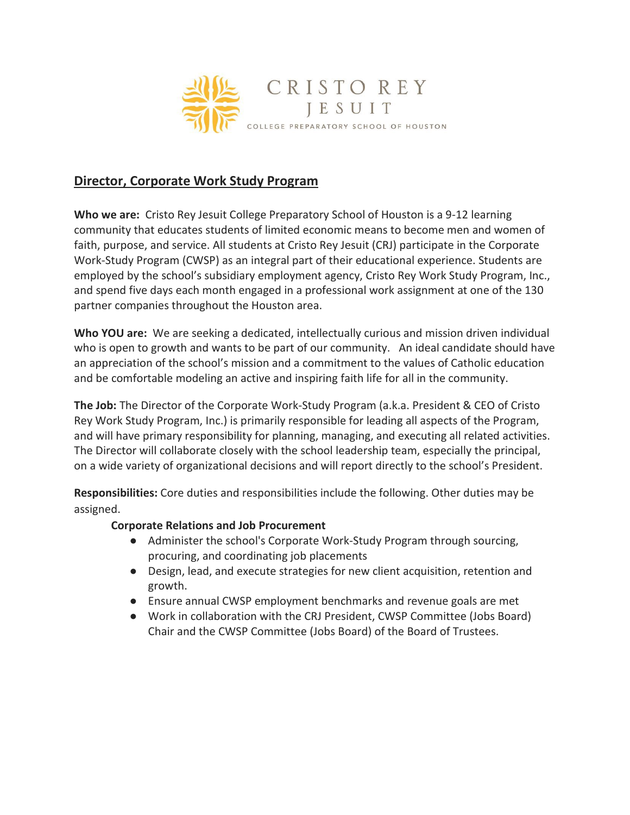

# **Director, Corporate Work Study Program**

**Who we are:** Cristo Rey Jesuit College Preparatory School of Houston is a 9-12 learning community that educates students of limited economic means to become men and women of faith, purpose, and service. All students at Cristo Rey Jesuit (CRJ) participate in the Corporate Work-Study Program (CWSP) as an integral part of their educational experience. Students are employed by the school's subsidiary employment agency, Cristo Rey Work Study Program, Inc., and spend five days each month engaged in a professional work assignment at one of the 130 partner companies throughout the Houston area.

**Who YOU are:** We are seeking a dedicated, intellectually curious and mission driven individual who is open to growth and wants to be part of our community. An ideal candidate should have an appreciation of the school's mission and a commitment to the values of Catholic education and be comfortable modeling an active and inspiring faith life for all in the community.

**The Job:** The Director of the Corporate Work-Study Program (a.k.a. President & CEO of Cristo Rey Work Study Program, Inc.) is primarily responsible for leading all aspects of the Program, and will have primary responsibility for planning, managing, and executing all related activities. The Director will collaborate closely with the school leadership team, especially the principal, on a wide variety of organizational decisions and will report directly to the school's President.

**Responsibilities:** Core duties and responsibilities include the following. Other duties may be assigned.

#### **Corporate Relations and Job Procurement**

- Administer the school's Corporate Work-Study Program through sourcing, procuring, and coordinating job placements
- Design, lead, and execute strategies for new client acquisition, retention and growth.
- Ensure annual CWSP employment benchmarks and revenue goals are met
- Work in collaboration with the CRJ President, CWSP Committee (Jobs Board) Chair and the CWSP Committee (Jobs Board) of the Board of Trustees.